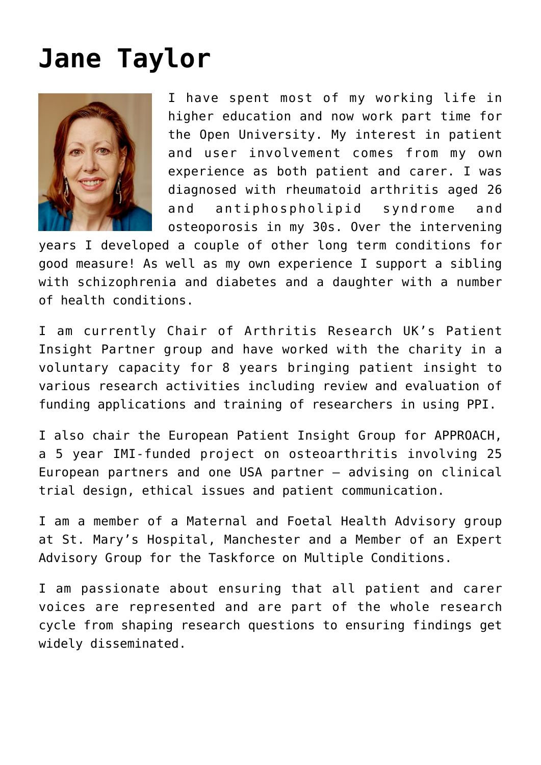### **[Jane Taylor](https://www.invo.org.uk/posttypemembers/jane-taylor/)**



I have spent most of my working life in higher education and now work part time for the Open University. My interest in patient and user involvement comes from my own experience as both patient and carer. I was diagnosed with rheumatoid arthritis aged 26 and antiphospholipid syndrome and osteoporosis in my 30s. Over the intervening

years I developed a couple of other long term conditions for good measure! As well as my own experience I support a sibling with schizophrenia and diabetes and a daughter with a number of health conditions.

I am currently Chair of Arthritis Research UK's Patient Insight Partner group and have worked with the charity in a voluntary capacity for 8 years bringing patient insight to various research activities including review and evaluation of funding applications and training of researchers in using PPI.

I also chair the European Patient Insight Group for APPROACH, a 5 year IMI-funded project on osteoarthritis involving 25 European partners and one USA partner – advising on clinical trial design, ethical issues and patient communication.

I am a member of a Maternal and Foetal Health Advisory group at St. Mary's Hospital, Manchester and a Member of an Expert Advisory Group for the Taskforce on Multiple Conditions.

I am passionate about ensuring that all patient and carer voices are represented and are part of the whole research cycle from shaping research questions to ensuring findings get widely disseminated.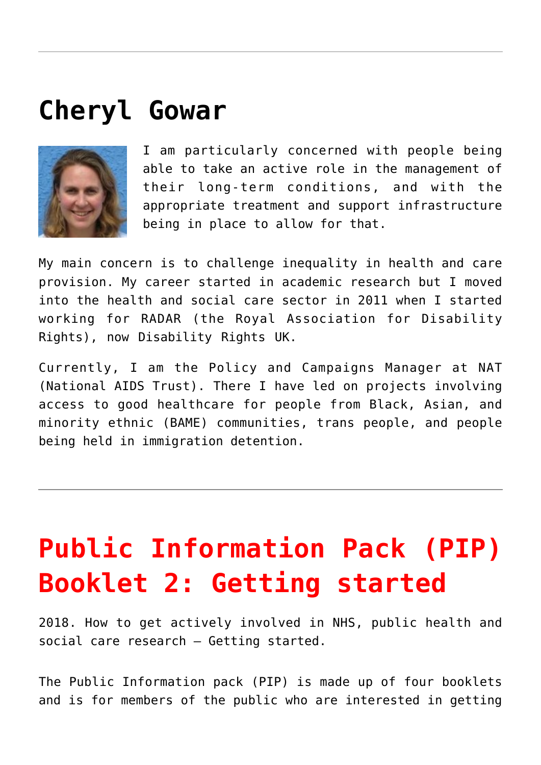#### **[Cheryl Gowar](https://www.invo.org.uk/posttypemembers/cheryl-gowar/)**



I am particularly concerned with people being able to take an active role in the management of their long-term conditions, and with the appropriate treatment and support infrastructure being in place to allow for that.

My main concern is to challenge inequality in health and care provision. My career started in academic research but I moved into the health and social care sector in 2011 when I started working for RADAR (the Royal Association for Disability Rights), now Disability Rights UK.

Currently, I am the Policy and Campaigns Manager at NAT (National AIDS Trust). There I have led on projects involving access to good healthcare for people from Black, Asian, and minority ethnic (BAME) communities, trans people, and people being held in immigration detention.

### **[Public Information Pack \(PIP\)](https://www.invo.org.uk/posttypepublication/public-information-pack-pip-booklet-2-getting-started/) [Booklet 2: Getting started](https://www.invo.org.uk/posttypepublication/public-information-pack-pip-booklet-2-getting-started/)**

2018. How to get actively involved in NHS, public health and social care research – Getting started.

The Public Information pack (PIP) is made up of four booklets and is for members of the public who are interested in getting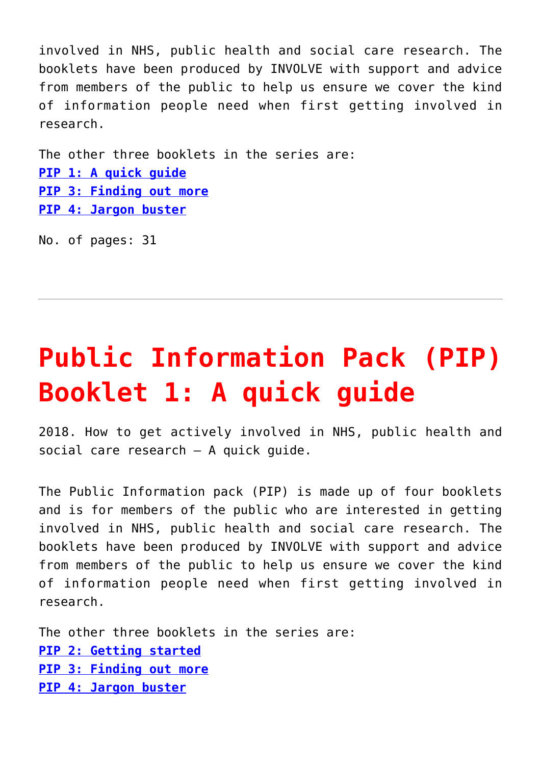involved in NHS, public health and social care research. The booklets have been produced by INVOLVE with support and advice from members of the public to help us ensure we cover the kind of information people need when first getting involved in research.

The other three booklets in the series are: **[PIP 1: A quick guide](http://www.invo.org.uk/posttypepublication/public-information-pack-pip-booklet-1-a-quick-guide/) [PIP 3: Finding out more](http://www.invo.org.uk/posttypepublication/pip-3-finding-out-more/) [PIP 4: Jargon buster](http://www.invo.org.uk/posttypepublication/pip-4-jargon-buster/)**

No. of pages: 31

# **[Public Information Pack \(PIP\)](https://www.invo.org.uk/posttypepublication/public-information-pack-pip-booklet-1-a-quick-guide/) [Booklet 1: A quick guide](https://www.invo.org.uk/posttypepublication/public-information-pack-pip-booklet-1-a-quick-guide/)**

2018. How to get actively involved in NHS, public health and social care research – A quick guide.

The Public Information pack (PIP) is made up of four booklets and is for members of the public who are interested in getting involved in NHS, public health and social care research. The booklets have been produced by INVOLVE with support and advice from members of the public to help us ensure we cover the kind of information people need when first getting involved in research.

The other three booklets in the series are: **[PIP 2: Getting started](http://www.invo.org.uk/posttypepublication/public-information-pack-pip-booklet-2-getting-started/) [PIP 3: Finding out more](http://www.invo.org.uk/posttypepublication/pip-3-finding-out-more/) [PIP 4: Jargon buster](http://www.invo.org.uk/posttypepublication/pip-4-jargon-buster/)**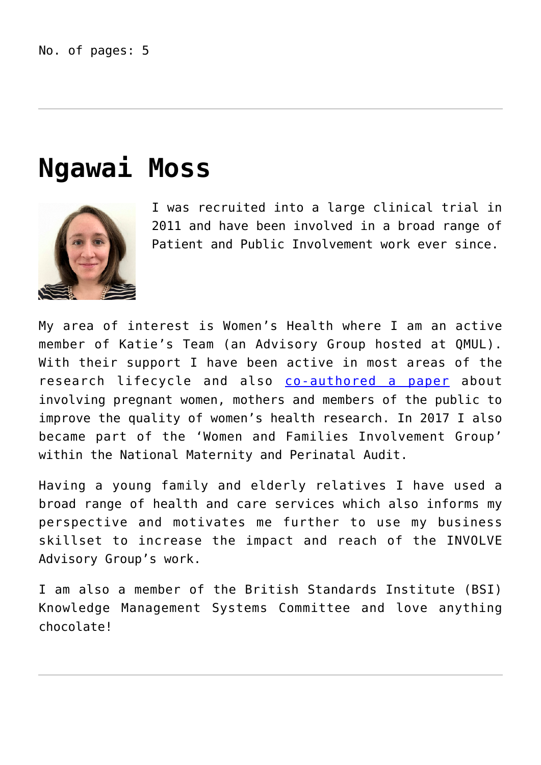#### **[Ngawai Moss](https://www.invo.org.uk/posttypemembers/ngawai-moss/)**



I was recruited into a large clinical trial in 2011 and have been involved in a broad range of Patient and Public Involvement work ever since.

My area of interest is Women's Health where I am an active member of Katie's Team (an Advisory Group hosted at QMUL). With their support I have been active in most areas of the research lifecycle and also [co-authored a paper](https://obgyn.onlinelibrary.wiley.com/doi/pdf/10.1111/1471-0528.14419) about involving pregnant women, mothers and members of the public to improve the quality of women's health research. In 2017 I also became part of the 'Women and Families Involvement Group' within the National Maternity and Perinatal Audit.

Having a young family and elderly relatives I have used a broad range of health and care services which also informs my perspective and motivates me further to use my business skillset to increase the impact and reach of the INVOLVE Advisory Group's work.

I am also a member of the British Standards Institute (BSI) Knowledge Management Systems Committee and love anything chocolate!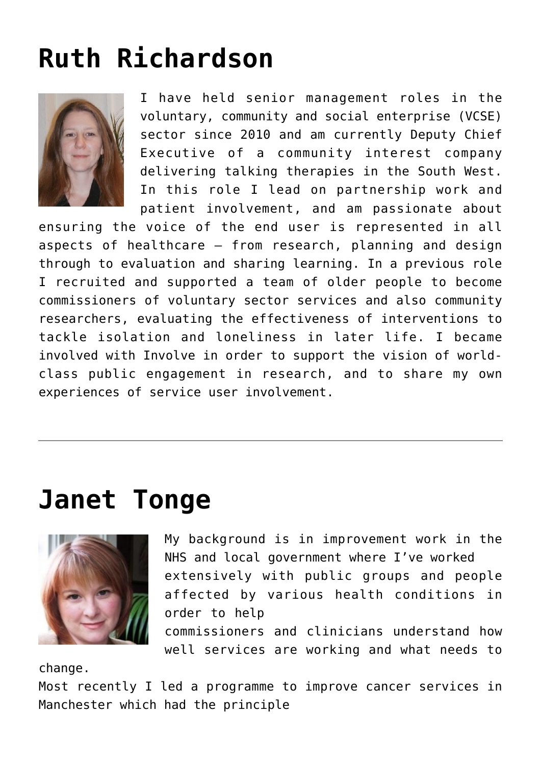## **[Ruth Richardson](https://www.invo.org.uk/posttypemembers/ruth-richardson/)**



I have held senior management roles in the voluntary, community and social enterprise (VCSE) sector since 2010 and am currently Deputy Chief Executive of a community interest company delivering talking therapies in the South West. In this role I lead on partnership work and patient involvement, and am passionate about

ensuring the voice of the end user is represented in all aspects of healthcare – from research, planning and design through to evaluation and sharing learning. In a previous role I recruited and supported a team of older people to become commissioners of voluntary sector services and also community researchers, evaluating the effectiveness of interventions to tackle isolation and loneliness in later life. I became involved with Involve in order to support the vision of worldclass public engagement in research, and to share my own experiences of service user involvement.

#### **[Janet Tonge](https://www.invo.org.uk/posttypemembers/janet-tonge/)**



My background is in improvement work in the NHS and local government where I've worked extensively with public groups and people affected by various health conditions in order to help

commissioners and clinicians understand how well services are working and what needs to

change.

Most recently I led a programme to improve cancer services in Manchester which had the principle